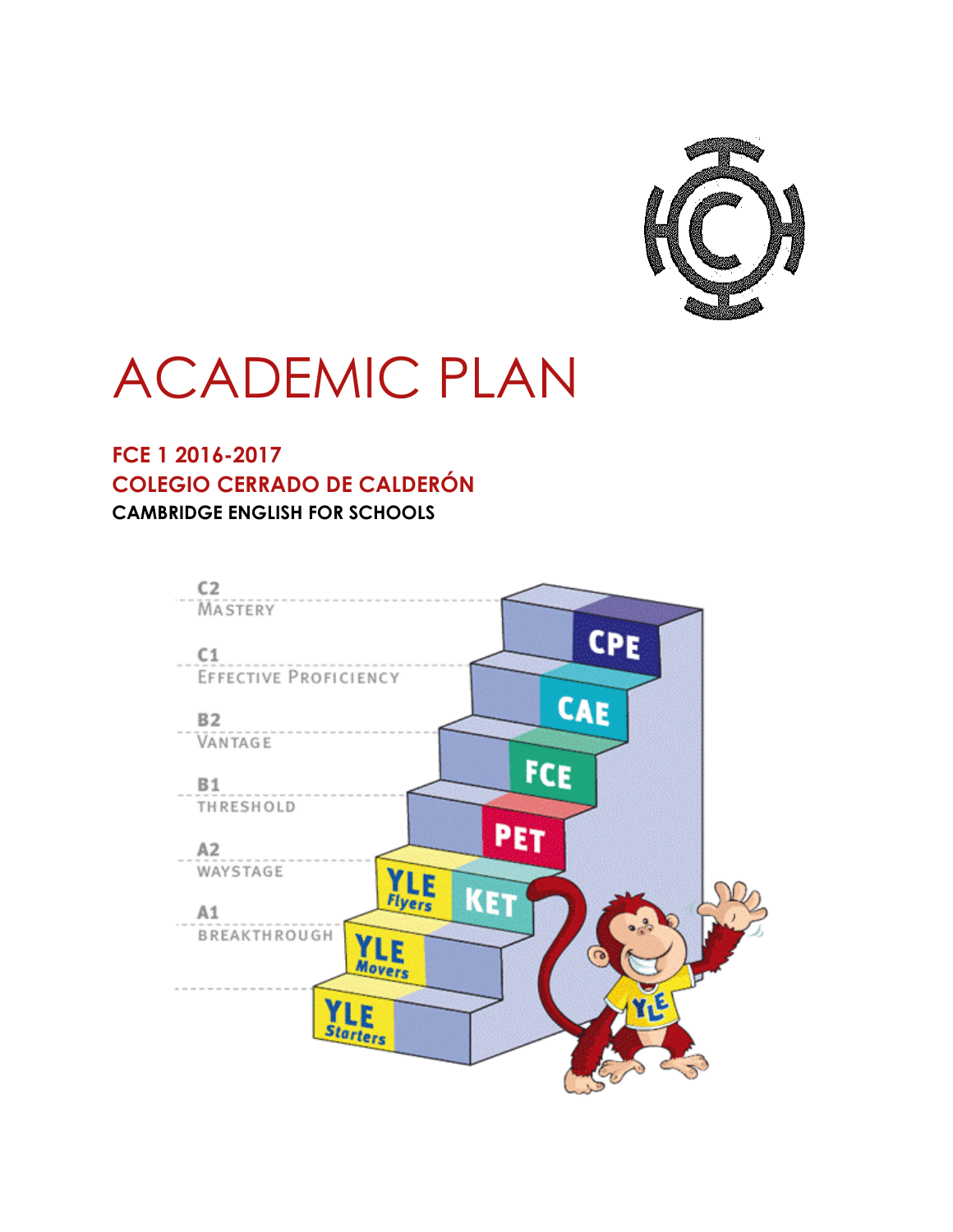

# ACADEMIC PLAN

### **FCE 1 2016-2017 COLEGIO CERRADO DE CALDERÓN CAMBRIDGE ENGLISH FOR SCHOOLS**

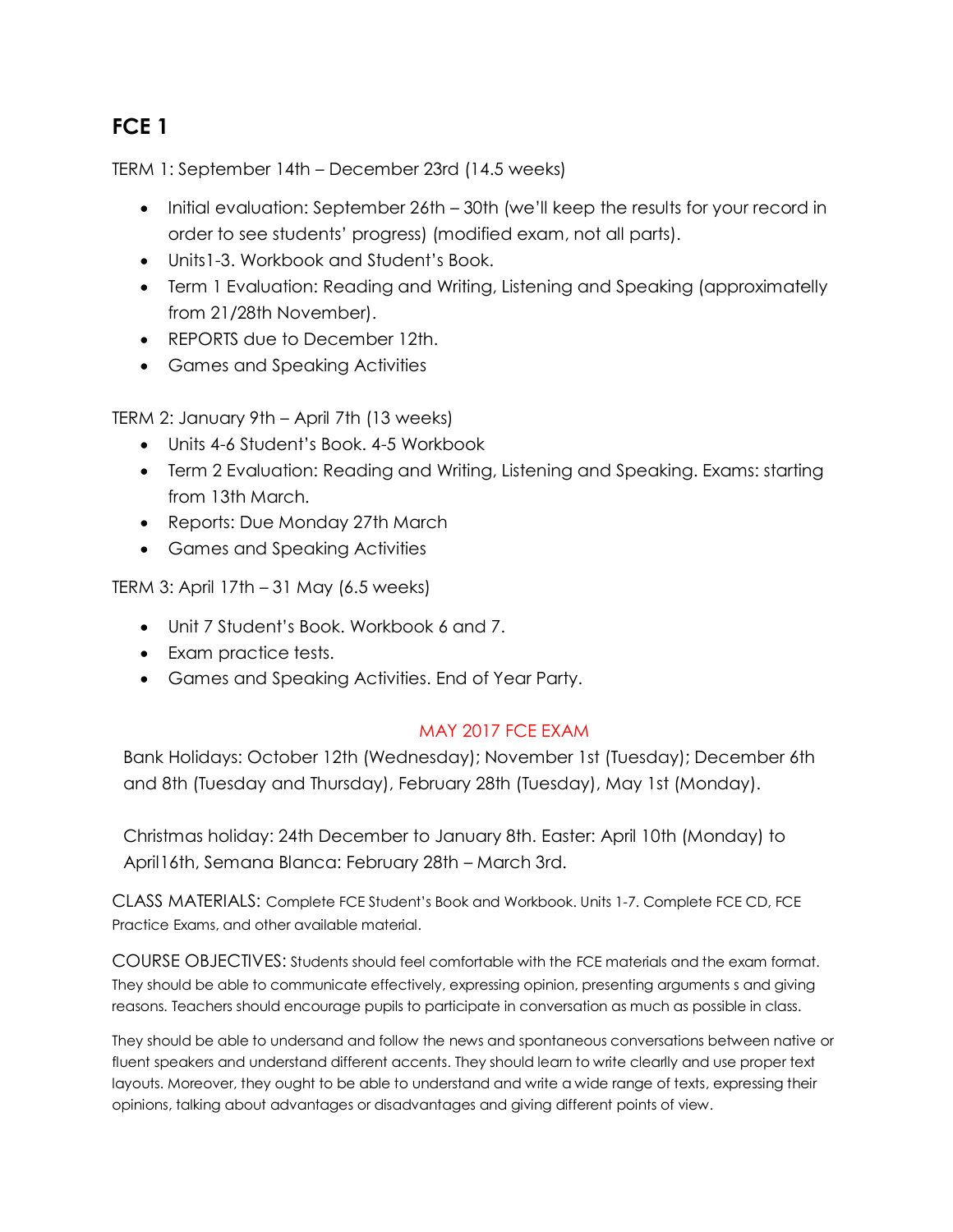# **FCE 1**

TERM 1: September 14th – December 23rd (14.5 weeks)

- Initial evaluation: September 26th 30th (we'll keep the results for your record in order to see students' progress) (modified exam, not all parts).
- Units1-3. Workbook and Student's Book.
- Term 1 Evaluation: Reading and Writing, Listening and Speaking (approximatelly from 21/28th November).
- REPORTS due to December 12th.
- Games and Speaking Activities

TERM 2: January 9th – April 7th (13 weeks)

- Units 4-6 Student's Book. 4-5 Workbook
- Term 2 Evaluation: Reading and Writing, Listening and Speaking. Exams: starting from 13th March.
- Reports: Due Monday 27th March
- Games and Speaking Activities

TERM 3: April 17th – 31 May (6.5 weeks)

- Unit 7 Student's Book. Workbook 6 and 7.
- Exam practice tests.
- Games and Speaking Activities. End of Year Party.

#### MAY 2017 FCE EXAM

Bank Holidays: October 12th (Wednesday); November 1st (Tuesday); December 6th and 8th (Tuesday and Thursday), February 28th (Tuesday), May 1st (Monday).

Christmas holiday: 24th December to January 8th. Easter: April 10th (Monday) to April16th, Semana Blanca: February 28th – March 3rd.

CLASS MATERIALS: Complete FCE Student's Book and Workbook. Units 1-7. Complete FCE CD, FCE Practice Exams, and other available material.

COURSE OBJECTIVES: Students should feel comfortable with the FCE materials and the exam format. They should be able to communicate effectively, expressing opinion, presenting arguments s and giving reasons. Teachers should encourage pupils to participate in conversation as much as possible in class.

They should be able to undersand and follow the news and spontaneous conversations between native or fluent speakers and understand different accents. They should learn to write clearlly and use proper text layouts. Moreover, they ought to be able to understand and write a wide range of texts, expressing their opinions, talking about advantages or disadvantages and giving different points of view.